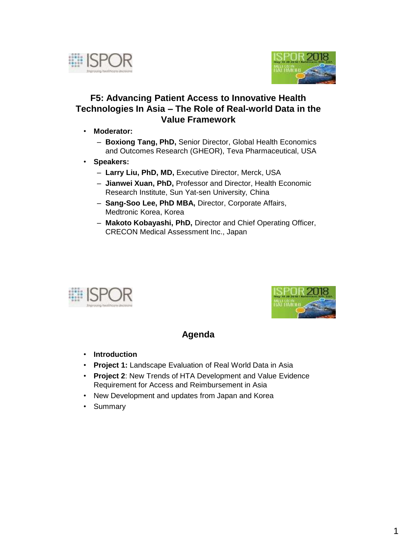



## **F5: Advancing Patient Access to Innovative Health Technologies In Asia – The Role of Real-world Data in the Value Framework**

- **Moderator:** 
	- **Boxiong Tang, PhD,** Senior Director, Global Health Economics and Outcomes Research (GHEOR), Teva Pharmaceutical, USA
- **Speakers:**
	- **Larry Liu, PhD, MD,** Executive Director, Merck, USA
	- **Jianwei Xuan, PhD,** Professor and Director, Health Economic Research Institute, Sun Yat-sen University, China
	- **Sang-Soo Lee, PhD MBA,** Director, Corporate Affairs, Medtronic Korea, Korea
	- **Makoto Kobayashi, PhD,** Director and Chief Operating Officer, CRECON Medical Assessment Inc., Japan





## **Agenda**

- **Introduction**
- **Project 1:** Landscape Evaluation of Real World Data in Asia
- **Project 2**: New Trends of HTA Development and Value Evidence Requirement for Access and Reimbursement in Asia
- New Development and updates from Japan and Korea
- Summary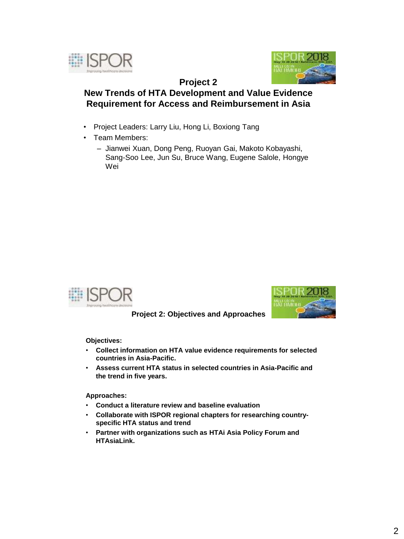



### **Project 2 New Trends of HTA Development and Value Evidence Requirement for Access and Reimbursement in Asia**

- Project Leaders: Larry Liu, Hong Li, Boxiong Tang
- Team Members:
	- Jianwei Xuan, Dong Peng, Ruoyan Gai, Makoto Kobayashi, Sang-Soo Lee, Jun Su, Bruce Wang, Eugene Salole, Hongye Wei





**Project 2: Objectives and Approaches**

**Objectives:** 

- **Collect information on HTA value evidence requirements for selected countries in Asia-Pacific.**
- **Assess current HTA status in selected countries in Asia-Pacific and the trend in five years.**

**Approaches:**

- **Conduct a literature review and baseline evaluation**
- **Collaborate with ISPOR regional chapters for researching countryspecific HTA status and trend**
- **Partner with organizations such as HTAi Asia Policy Forum and HTAsiaLink.**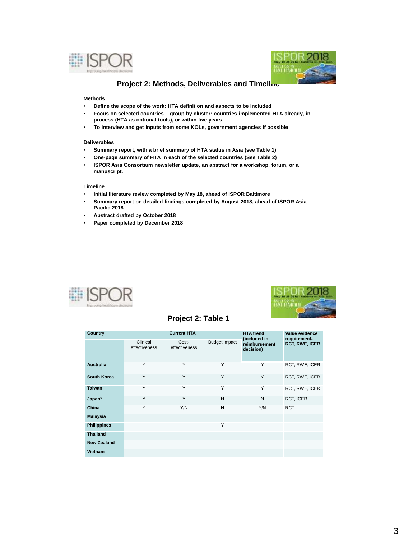



### **Project 2: Methods, Deliverables and Timeline**

#### **Methods**

- **Define the scope of the work: HTA definition and aspects to be included**
- **Focus on selected countries – group by cluster: countries implemented HTA already, in process (HTA as optional tools), or within five years**
- **To interview and get inputs from some KOLs, government agencies if possible**

#### **Deliverables**

- **Summary report, with a brief summary of HTA status in Asia (see Table 1)**
- **One-page summary of HTA in each of the selected countries (See Table 2)**
- **ISPOR Asia Consortium newsletter update, an abstract for a workshop, forum, or a manuscript.**

#### **Timeline**

- **Initial literature review completed by May 18, ahead of ISPOR Baltimore**
- **Summary report on detailed findings completed by August 2018, ahead of ISPOR Asia Pacific 2018**
- **Abstract drafted by October 2018**
- **Paper completed by December 2018**





### **Project 2: Table 1**

| Country            | <b>Current HTA</b>        |                        |                      | <b>HTA trend</b>                           | Value evidence                        |
|--------------------|---------------------------|------------------------|----------------------|--------------------------------------------|---------------------------------------|
|                    | Clinical<br>effectiveness | Cost-<br>effectiveness | <b>Budget impact</b> | (included in<br>reimbursement<br>decision) | requirement-<br><b>RCT, RWE, ICER</b> |
| <b>Australia</b>   | Υ                         | Y                      | Y                    | Y                                          | RCT, RWE, ICER                        |
| South Korea        | Υ                         | Y                      | Υ                    | Y                                          | RCT, RWE, ICER                        |
| <b>Taiwan</b>      | Y                         | Y                      | Y                    | Y                                          | RCT, RWE, ICER                        |
| Japan*             | Υ                         | Y                      | N                    | N                                          | RCT, ICER                             |
| China              | Υ                         | Y/N                    | N                    | Y/N                                        | <b>RCT</b>                            |
| <b>Malaysia</b>    |                           |                        |                      |                                            |                                       |
| <b>Philippines</b> |                           |                        | Y                    |                                            |                                       |
| <b>Thailand</b>    |                           |                        |                      |                                            |                                       |
| <b>New Zealand</b> |                           |                        |                      |                                            |                                       |
| Vietnam            |                           |                        |                      |                                            |                                       |